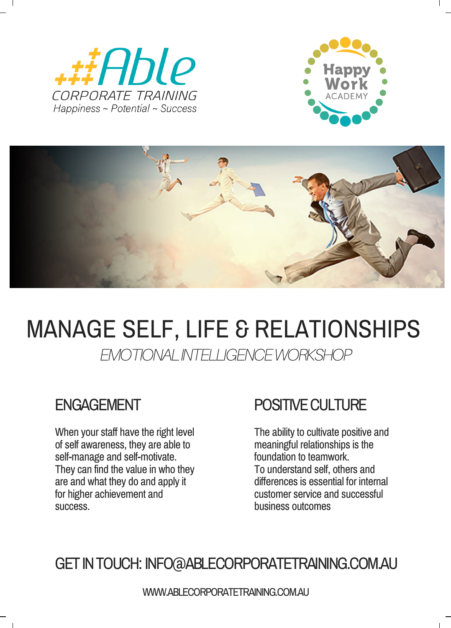





## MANAGE SELF, LIFE & RELATIONSHIPS

EMOTIONALINTELLIGENCEWORKSHOP

When your staff have the right level of self awareness, they are able to self-manage and self-motivate. They can find the value in who they are and what they do and apply it for higher achievement and success.

## ENGAGEMENT POSITIVE CULTURE

The ability to cultivate positive and meaningful relationships is the foundation to teamwork. To understand self, others and differences is essential for internal customer service and successful business outcomes

GETINTOUCH: INFO@ABLECORPORATETRAINING.COM.AU

WWW.ABLECORPORATETRAINING.COM.AU